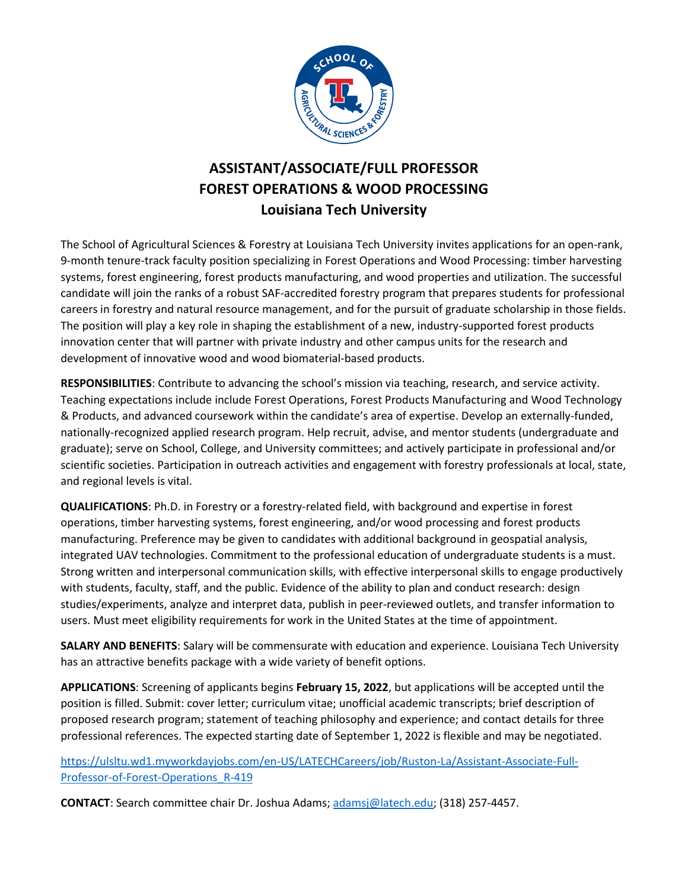

## **ASSISTANT/ASSOCIATE/FULL PROFESSOR FOREST OPERATIONS & WOOD PROCESSING Louisiana Tech University**

The School of Agricultural Sciences & Forestry at Louisiana Tech University invites applications for an open-rank, 9-month tenure-track faculty position specializing in Forest Operations and Wood Processing: timber harvesting systems, forest engineering, forest products manufacturing, and wood properties and utilization. The successful candidate will join the ranks of a robust SAF-accredited forestry program that prepares students for professional careers in forestry and natural resource management, and for the pursuit of graduate scholarship in those fields. The position will play a key role in shaping the establishment of a new, industry-supported forest products innovation center that will partner with private industry and other campus units for the research and development of innovative wood and wood biomaterial-based products.

**RESPONSIBILITIES**: Contribute to advancing the school's mission via teaching, research, and service activity. Teaching expectations include include Forest Operations, Forest Products Manufacturing and Wood Technology & Products, and advanced coursework within the candidate's area of expertise. Develop an externally-funded, nationally-recognized applied research program. Help recruit, advise, and mentor students (undergraduate and graduate); serve on School, College, and University committees; and actively participate in professional and/or scientific societies. Participation in outreach activities and engagement with forestry professionals at local, state, and regional levels is vital.

**QUALIFICATIONS**: Ph.D. in Forestry or a forestry-related field, with background and expertise in forest operations, timber harvesting systems, forest engineering, and/or wood processing and forest products manufacturing. Preference may be given to candidates with additional background in geospatial analysis, integrated UAV technologies. Commitment to the professional education of undergraduate students is a must. Strong written and interpersonal communication skills, with effective interpersonal skills to engage productively with students, faculty, staff, and the public. Evidence of the ability to plan and conduct research: design studies/experiments, analyze and interpret data, publish in peer-reviewed outlets, and transfer information to users. Must meet eligibility requirements for work in the United States at the time of appointment.

**SALARY AND BENEFITS**: Salary will be commensurate with education and experience. Louisiana Tech University has an attractive benefits package with a wide variety of benefit options.

**APPLICATIONS**: Screening of applicants begins **February 15, 2022**, but applications will be accepted until the position is filled. Submit: cover letter; curriculum vitae; unofficial academic transcripts; brief description of proposed research program; statement of teaching philosophy and experience; and contact details for three professional references. The expected starting date of September 1, 2022 is flexible and may be negotiated.

[https://ulsltu.wd1.myworkdayjobs.com/en-US/LATECHCareers/job/Ruston-La/Assistant-Associate-Full-](https://ulsltu.wd1.myworkdayjobs.com/en-US/LATECHCareers/job/Ruston-La/Assistant-Associate-Full-Professor-of-Forest-Operations_R-419)[Professor-of-Forest-Operations\\_R-419](https://ulsltu.wd1.myworkdayjobs.com/en-US/LATECHCareers/job/Ruston-La/Assistant-Associate-Full-Professor-of-Forest-Operations_R-419)

**CONTACT**: Search committee chair Dr. Joshua Adams[; adamsj@latech.edu;](mailto:adamsj@latech.edu) (318) 257-4457.